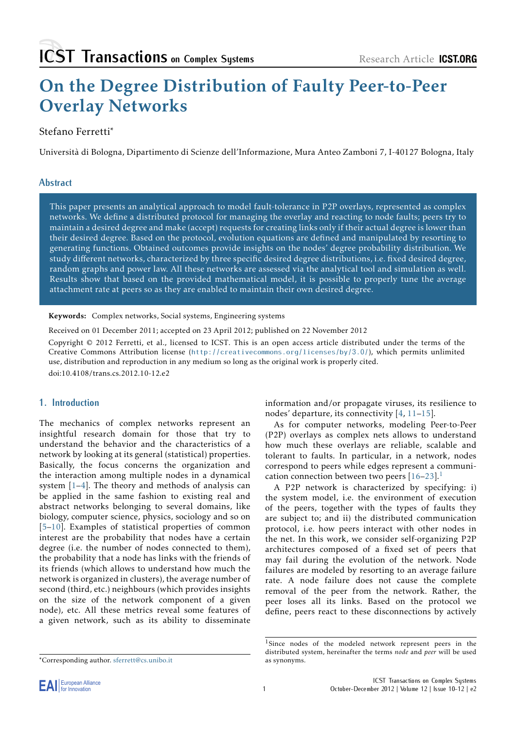# On the Degree Distribution of Faulty Peer-to-Peer Overlay Networks

# Stefano Ferretti∗

Università di Bologna, Dipartimento di Scienze dell'Informazione, Mura Anteo Zamboni 7, I-40127 Bologna, Italy

# **Abstract**

This paper presents an analytical approach to model fault-tolerance in P2P overlays, represented as complex networks. We define a distributed protocol for managing the overlay and reacting to node faults; peers try to maintain a desired degree and make (accept) requests for creating links only if their actual degree is lower than their desired degree. Based on the protocol, evolution equations are defined and manipulated by resorting to generating functions. Obtained outcomes provide insights on the nodes' degree probability distribution. We study different networks, characterized by three specific desired degree distributions, i.e. fixed desired degree, random graphs and power law. All these networks are assessed via the analytical tool and simulation as well. Results show that based on the provided mathematical model, it is possible to properly tune the average attachment rate at peers so as they are enabled to maintain their own desired degree.

Keywords: Complex networks, Social systems, Engineering systems

Received on 01 December 2011; accepted on 23 April 2012; published on 22 November 2012

Copyright © 2012 Ferretti, et al., licensed to ICST. This is an open access article distributed under the terms of the Creative Commons Attribution license (http://creativecommons.org/licenses/by/3.0/), which permits unlimited use, distribution and reproduction in any medium so long as the original work is properly cited.

doi:10.4108/trans.cs.2012.10-12.e2

# **1. Introduction**

The mechanics of complex networks represent an insightful research domain for those that try to understand the behavior and the characteristics of a network by looking at its general (statistical) properties. Basically, the focus concerns the organization and the interaction among multiple nodes in a dynamical system [1–4]. The theory and methods of analysis can be applied in the same fashion to existing real and abstract networks belonging to several domains, like biology, computer science, physics, sociology and so on [5–10]. [Ex](#page-17-0)[am](#page-17-1)ples of statistical properties of common interest are the probability that nodes have a certain degree (i.e. the number of nodes connected to them), the probability that a node has links with the friends of i[ts](#page-17-2) [frie](#page-18-0)nds (which allows to understand how much the network is organized in clusters), the average number of second (third, etc.) neighbours (which provides insights on the size of the network component of a given node), etc. All these metrics reveal some features of a given network, such as its ability to disseminate

information and/or propagate viruses, its resilience to nodes' departure, its connectivity [4, 11–15].

As for computer networks, modeling Peer-to-Peer (P2P) overlays as complex nets allows to understand how much these overlays are reliable, scalable and tolerant to faults. In particular, i[n](#page-17-1) [a n](#page-18-1)[etw](#page-18-2)ork, nodes correspond to peers while edges represent a communication connection between two peers  $[16-23]$ .<sup>1</sup>

A P2P network is characterized by specifying: i) the system model, i.e. the environment of execution of the peers, together with the types of faults they are subject to; and ii) the distribute[d c](#page-18-3)[omm](#page-18-4)[u](#page-0-0)nication protocol, i.e. how peers interact with other nodes in the net. In this work, we consider self-organizing P2P architectures composed of a fixed set of peers that may fail during the evolution of the network. Node failures are modeled by resorting to an average failure rate. A node failure does not cause the complete removal of the peer from the network. Rather, the peer loses all its links. Based on the protocol we define, peers react to these disconnections by actively



<sup>∗</sup>Corresponding author. sferrett@cs.unibo.it

<span id="page-0-0"></span><sup>1</sup>Since nodes of the modeled network represent peers in the distributed system, hereinafter the terms *node* and *peer* will be used as synonyms.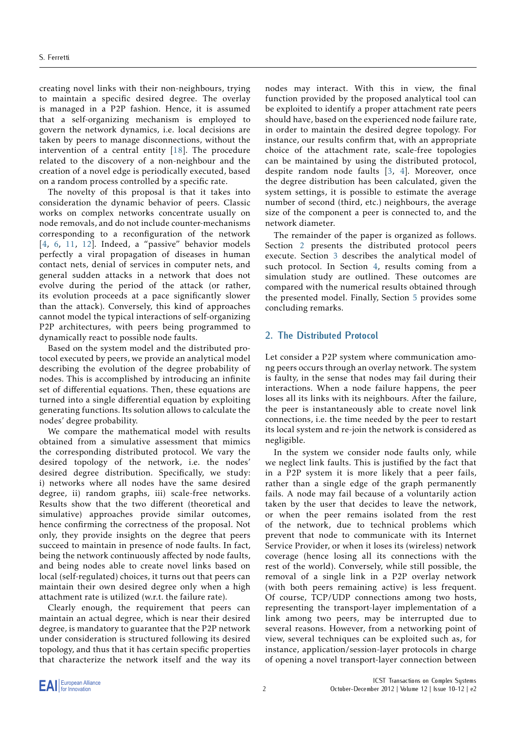creating novel links with their non-neighbours, trying to maintain a specific desired degree. The overlay is managed in a P2P fashion. Hence, it is assumed that a self-organizing mechanism is employed to govern the network dynamics, i.e. local decisions are taken by peers to manage disconnections, without the intervention of a central entity [[18\]](#page-18-5). The procedure related to the discovery of a non-neighbour and the creation of a novel edge is periodically executed, based on a random process controlled by a specific rate.

The novelty of this proposal is that it takes into consideration the dynamic behavior of peers. Classic works on complex networks concentrate usually on node removals, and do not include counter-mechanisms corresponding to a reconfiguration of the network [[4](#page-17-1), [6,](#page-17-3) [11,](#page-18-1) [12\]](#page-18-6). Indeed, a "passive" behavior models perfectly a viral propagation of diseases in human contact nets, denial of services in computer nets, and general sudden attacks in a network that does not evolve during the period of the attack (or rather, its evolution proceeds at a pace significantly slower than the attack). Conversely, this kind of approaches cannot model the typical interactions of self-organizing P2P architectures, with peers being programmed to dynamically react to possible node faults.

Based on the system model and the distributed protocol executed by peers, we provide an analytical model describing the evolution of the degree probability of nodes. This is accomplished by introducing an infinite set of differential equations. Then, these equations are turned into a single differential equation by exploiting generating functions. Its solution allows to calculate the nodes' degree probability.

We compare the mathematical model with results obtained from a simulative assessment that mimics the corresponding distributed protocol. We vary the desired topology of the network, i.e. the nodes' desired degree distribution. Specifically, we study: i) networks where all nodes have the same desired degree, ii) random graphs, iii) scale-free networks. Results show that the two different (theoretical and simulative) approaches provide similar outcomes, hence confirming the correctness of the proposal. Not only, they provide insights on the degree that peers succeed to maintain in presence of node faults. In fact, being the network continuously affected by node faults, and being nodes able to create novel links based on local (self-regulated) choices, it turns out that peers can maintain their own desired degree only when a high attachment rate is utilized (w.r.t. the failure rate).

Clearly enough, the requirement that peers can maintain an actual degree, which is near their desired degree, is mandatory to guarantee that the P2P network under consideration is structured following its desired topology, and thus that it has certain specific properties that characterize the network itself and the way its nodes may interact. With this in view, the final function provided by the proposed analytical tool can be exploited to identify a proper attachment rate peers should have, based on the experienced node failure rate, in order to maintain the desired degree topology. For instance, our results confirm that, with an appropriate choice of the attachment rate, scale-free topologies can be maintained by using the distributed protocol, despite random node faults [\[3,](#page-17-4) [4\]](#page-17-1). Moreover, once the degree distribution has been calculated, given the system settings, it is possible to estimate the average number of second (third, etc.) neighbours, the average size of the component a peer is connected to, and the network diameter.

The remainder of the paper is organized as follows. Section [2](#page-1-0) presents the distributed protocol peers execute. Section [3](#page-2-0) describes the analytical model of such protocol. In Section [4,](#page-5-0) results coming from a simulation study are outlined. These outcomes are compared with the numerical results obtained through the presented model. Finally, Section [5](#page-17-5) provides some concluding remarks.

## <span id="page-1-0"></span>**2. The Distributed Protocol**

Let consider a P2P system where communication among peers occurs through an overlay network. The system is faulty, in the sense that nodes may fail during their interactions. When a node failure happens, the peer loses all its links with its neighbours. After the failure, the peer is instantaneously able to create novel link connections, i.e. the time needed by the peer to restart its local system and re-join the network is considered as negligible.

In the system we consider node faults only, while we neglect link faults. This is justified by the fact that in a P2P system it is more likely that a peer fails, rather than a single edge of the graph permanently fails. A node may fail because of a voluntarily action taken by the user that decides to leave the network, or when the peer remains isolated from the rest of the network, due to technical problems which prevent that node to communicate with its Internet Service Provider, or when it loses its (wireless) network coverage (hence losing all its connections with the rest of the world). Conversely, while still possible, the removal of a single link in a P2P overlay network (with both peers remaining active) is less frequent. Of course, TCP/UDP connections among two hosts, representing the transport-layer implementation of a link among two peers, may be interrupted due to several reasons. However, from a networking point of view, several techniques can be exploited such as, for instance, application/session-layer protocols in charge of opening a novel transport-layer connection between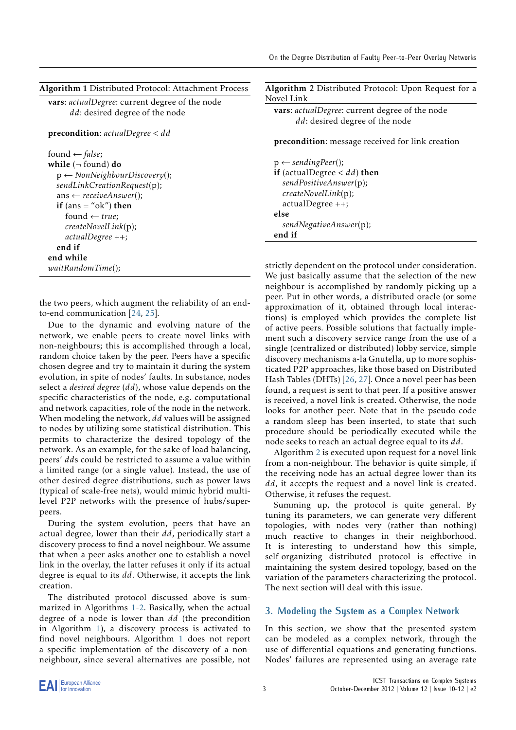| Algorithm 1 Distributed Protocol: Attachment Process |  |
|------------------------------------------------------|--|
|------------------------------------------------------|--|

vars: *actualDegree*: current degree of the node *dd*: desired degree of the node

precondition: *actualDegree < dd*

found ← *false*; while  $($  $\neg$  found) do p ← *NonNeighbourDiscovery*(); *sendLinkCreationRequest*(p); ans ← *receiveAnswer*(); if  $(ans = "ok")$  then found ← *true*; *createNovelLink*(p); *actualDegree* ++; end if end while *waitRandomTime*();

the two peers, which augment the reliability of an endto-end communication [\[24](#page-18-7), [25](#page-18-8)].

Due to the dynamic and evolving nature of the network, we enable peers to create novel links with non-neighbours; this is accomplished through a local, random choice taken by the peer. Peers have a specific chosen degree and try to maintain it during the system evolution, in spite of nodes' faults. In substance, nodes select a *desired degree* (*dd*), whose value depends on the specific characteristics of the node, e.g. computational and network capacities, role of the node in the network. When modeling the network, *dd* values will be assigned to nodes by utilizing some statistical distribution. This permits to characterize the desired topology of the network. As an example, for the sake of load balancing, peers' *dd*s could be restricted to assume a value within a limited range (or a single value). Instead, the use of other desired degree distributions, such as power laws (typical of scale-free nets), would mimic hybrid multilevel P2P networks with the presence of hubs/superpeers.

During the system evolution, peers that have an actual degree, lower than their *dd*, periodically start a discovery process to find a novel neighbour. We assume that when a peer asks another one to establish a novel link in the overlay, the latter refuses it only if its actual degree is equal to its *dd*. Otherwise, it accepts the link creation.

The distributed protocol discussed above is summarized in Algorithms 1-2. Basically, when the actual degree of a node is lower than *dd* (the precondition in Algorithm 1), a discovery process is activated to find novel neighbours. Algorithm 1 does not report a specific implementation of the discovery of a nonneighbour, since several alternatives are possible, not

Algorithm 2 Distributed Protocol: Upon Request for a Novel Link

vars: *actualDegree*: current degree of the node *dd*: desired degree of the node

precondition: message received for link creation

p ← *sendingPeer*(); if (actualDegree *< dd*) then *sendPositiveAnswer*(p); *createNovelLink*(p); actualDegree ++; else *sendNegativeAnswer*(p); end if

strictly dependent on the protocol under consideration. We just basically assume that the selection of the new neighbour is accomplished by randomly picking up a peer. Put in other words, a distributed oracle (or some approximation of it, obtained through local interactions) is employed which provides the complete list of active peers. Possible solutions that factually implement such a discovery service range from the use of a single (centralized or distributed) lobby service, simple discovery mechanisms a-la Gnutella, up to more sophisticated P2P approaches, like those based on Distributed Hash Tables (DHTs) [\[26](#page-18-9), [27\]](#page-18-10). Once a novel peer has been found, a request is sent to that peer. If a positive answer is received, a novel link is created. Otherwise, the node looks for another peer. Note that in the pseudo-code a random sleep has been inserted, to state that such procedure should be periodically executed while the node seeks to reach an actual degree equal to its *dd*.

Algorithm 2 is executed upon request for a novel link from a non-neighbour. The behavior is quite simple, if the receiving node has an actual degree lower than its *dd*, it accepts the request and a novel link is created. Otherwise, it refuses the request.

Summing up, the protocol is quite general. By tuning its parameters, we can generate very different topologies, with nodes very (rather than nothing) much reactive to changes in their neighborhood. It is interesting to understand how this simple, self-organizing distributed protocol is effective in maintaining the system desired topology, based on the variation of the parameters characterizing the protocol. The next section will deal with this issue.

## <span id="page-2-0"></span>**3. Modeling the System as a Complex Network**

In this section, we show that the presented system can be modeled as a complex network, through the use of differential equations and generating functions. Nodes' failures are represented using an average rate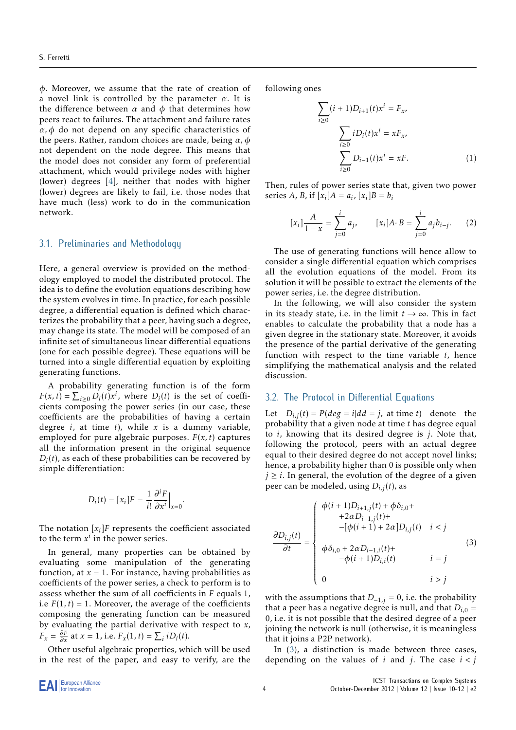*ϕ*. Moreover, we assume that the rate of creation of a novel link is controlled by the parameter *α*. It is the difference between  $\alpha$  and  $\phi$  that determines how peers react to failures. The attachment and failure rates *α, ϕ* do not depend on any specific characteristics of the peers. Rather, random choices are made, being *α, ϕ* not dependent on the node degree. This means that the model does not consider any form of preferential attachment, which would privilege nodes with higher (lower) degrees [\[4](#page-17-1)], neither that nodes with higher (lower) degrees are likely to fail, i.e. those nodes that have much (less) work to do in the communication network.

## 3.1. Preliminaries and Methodology

Here, a general overview is provided on the methodology employed to model the distributed protocol. The idea is to define the evolution equations describing how the system evolves in time. In practice, for each possible degree, a differential equation is defined which characterizes the probability that a peer, having such a degree, may change its state. The model will be composed of an infinite set of simultaneous linear differential equations (one for each possible degree). These equations will be turned into a single differential equation by exploiting generating functions.

A probability generating function is of the form  $F(x, t) = \sum_{i \geq 0} D_i(t) x^i$ , where  $D_i(t)$  is the set of coefficients composing the power series (in our case, these coefficients are the probabilities of having a certain degree *i*, at time *t*), while *x* is a dummy variable, employed for pure algebraic purposes.  $F(x, t)$  captures all the information present in the original sequence  $D_i(t)$ , as each of these probabilities can be recovered by simple differentiation:

<span id="page-3-1"></span>
$$
D_i(t) = [x_i]F = \frac{1}{i!} \frac{\partial^i F}{\partial x^i}\Big|_{x=0}.
$$

The notation  $[x_i]$ *F* represents the coefficient associated to the term  $x^i$  in the power series.

In general, many properties can be obtained by evaluating some manipulation of the generating function, at  $x = 1$ . For instance, having probabilities as coefficients of the power series, a check to perform is to assess whether the sum of all coefficients in *F* equals 1, i.e  $F(1, t) = 1$ . Moreover, the average of the coefficients composing the generating function can be measured by evaluating the partial derivative with respect to *x*,  $F_x = \frac{\partial F}{\partial x}$  at  $x = 1$ , i.e.  $F_x(1, t) = \sum_i iD_i(t)$ .

Other useful algebraic properties, which will be used in the rest of the paper, and easy to verify, are the following ones

$$
\sum_{i\geq 0} (i+1)D_{i+1}(t)x^{i} = F_{x},
$$
  

$$
\sum_{i\geq 0} iD_{i}(t)x^{i} = xF_{x},
$$
  

$$
\sum_{i\geq 0} D_{i-1}(t)x^{i} = xF.
$$
 (1)

Then, rules of power series state that, given two power series *A*, *B*, if  $[x_i]A = a_i$ ,  $[x_i]B = b_i$ 

<span id="page-3-2"></span>
$$
[x_i] \frac{A}{1-x} = \sum_{j=0}^{i} a_j, \qquad [x_i] A \cdot B = \sum_{j=0}^{i} a_j b_{i-j}.
$$
 (2)

The use of generating functions will hence allow to consider a single differential equation which comprises all the evolution equations of the model. From its solution it will be possible to extract the elements of the power series, i.e. the degree distribution.

In the following, we will also consider the system in its steady state, i.e. in the limit  $t \rightarrow \infty$ . This in fact enables to calculate the probability that a node has a given degree in the stationary state. Moreover, it avoids the presence of the partial derivative of the generating function with respect to the time variable *t*, hence simplifying the mathematical analysis and the related discussion.

#### 3.2. The Protocol in Differential Equations

Let  $D_{i,j}(t) = P(deg = i|dd = j$ , at time *t*) denote the probability that a given node at time *t* has degree equal to *i*, knowing that its desired degree is *j*. Note that, following the protocol, peers with an actual degree equal to their desired degree do not accept novel links; hence, a probability higher than 0 is possible only when  $j \geq i$ . In general, the evolution of the degree of a given peer can be modeled, using *Di,j*(*t*), as

<span id="page-3-0"></span>
$$
\frac{\partial D_{i,j}(t)}{\partial t} = \begin{cases}\n\phi(i+1)D_{i+1,j}(t) + \phi \delta_{i,0} + \\
+2\alpha D_{i-1,j}(t) + \\
-[\phi(i+1) + 2\alpha]D_{i,j}(t) & i < j \\
\phi \delta_{i,0} + 2\alpha D_{i-1,i}(t) + \\
-\phi(i+1)D_{i,i}(t) & i = j \\
0 & i > j\n\end{cases}
$$
\n(3)

with the assumptions that  $D_{-1,j} = 0$ , i.e. the probability that a peer has a negative degree is null, and that  $D_{i,0}$  = 0, i.e. it is not possible that the desired degree of a peer joining the network is null (otherwise, it is meaningless that it joins a P2P network).

In [\(3\)](#page-3-0), a distinction is made between three cases, depending on the values of  $i$  and  $j$ . The case  $i < j$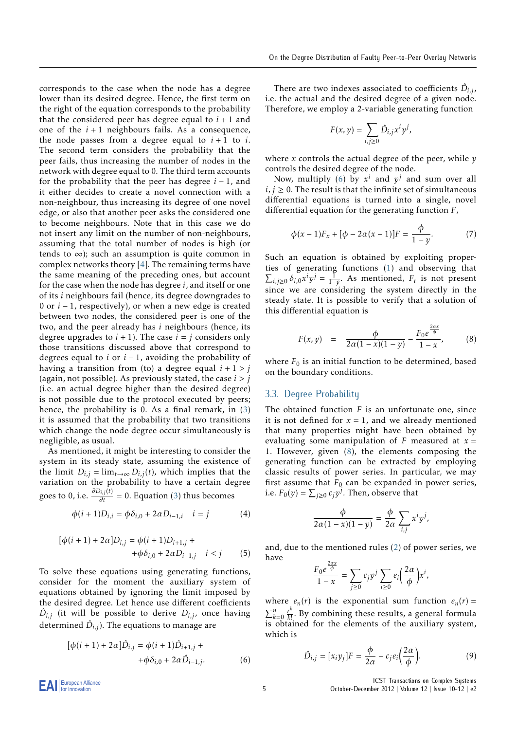corresponds to the case when the node has a degree lower than its desired degree. Hence, the first term on the right of the equation corresponds to the probability that the considered peer has degree equal to  $i + 1$  and one of the  $i+1$  neighbours fails. As a consequence, the node passes from a degree equal to  $i + 1$  to  $i$ . The second term considers the probability that the peer fails, thus increasing the number of nodes in the network with degree equal to 0. The third term accounts for the probability that the peer has degree *i* − 1, and it either decides to create a novel connection with a non-neighbour, thus increasing its degree of one novel edge, or also that another peer asks the considered one to become neighbours. Note that in this case we do not insert any limit on the number of non-neighbours, assuming that the total number of nodes is high (or tends to  $\infty$ ); such an assumption is quite common in complex networks theory [[4\]](#page-17-1). The remaining terms have the same meaning of the preceding ones, but account for the case when the node has degree *i*, and itself or one of its *i* neighbours fail (hence, its degree downgrades to 0 or *i* − 1, respectively), or when a new edge is created between two nodes, the considered peer is one of the two, and the peer already has *i* neighbours (hence, its degree upgrades to  $i + 1$ ). The case  $i = j$  considers only those transitions discussed above that correspond to degrees equal to  $i$  or  $i - 1$ , avoiding the probability of having a transition from (to) a degree equal  $i + 1 > j$ (again, not possible). As previously stated, the case *i > j* (i.e. an actual degree higher than the desired degree) is not possible due to the protocol executed by peers; hence, the probability is 0. As a final remark, in [\(3\)](#page-3-0) it is assumed that the probability that two transitions which change the node degree occur simultaneously is negligible, as usual.

As mentioned, it might be interesting to consider the system in its steady state, assuming the existence of the limit  $D_{i,j} = \lim_{t \to \infty} D_{i,j}(t)$ , which implies that the variation on the probability to have a certain degree goes to 0, i.e.  $\frac{\partial D_{i,j}(t)}{\partial t} = 0$ . Equation [\(3\)](#page-3-0) thus becomes

<span id="page-4-3"></span>
$$
\phi(i+1)D_{i,i} = \phi \delta_{i,0} + 2\alpha D_{i-1,i} \quad i = j \tag{4}
$$

$$
[\phi(i + 1) + 2\alpha]D_{i,j} = \phi(i + 1)D_{i+1,j} ++\phi\delta_{i,0} + 2\alpha D_{i-1,j} \quad i < j
$$
 (5)

To solve these equations using generating functions, consider for the moment the auxiliary system of equations obtained by ignoring the limit imposed by the desired degree. Let hence use different coefficients  $\hat{D}_{i,j}$  (it will be possible to derive  $D_{i,j}$ , once having determined  $\hat{D}_{i,j}$ ). The equations to manage are

<span id="page-4-0"></span>
$$
[\phi(i + 1) + 2\alpha]\hat{D}_{i,j} = \phi(i + 1)\hat{D}_{i+1,j} ++\phi\delta_{i,0} + 2\alpha\hat{D}_{i-1,j}.
$$
 (6)

There are two indexes associated to coefficients  $\hat{D}_{i,j}$ , i.e. the actual and the desired degree of a given node. Therefore, we employ a 2-variable generating function

$$
F(x,y) = \sum_{i,j \geq 0} \hat{D}_{i,j} x^i y^j,
$$

where *x* controls the actual degree of the peer, while *y* controls the desired degree of the node.

Now, multiply [\(6\)](#page-4-0) by  $x^i$  and  $y^j$  and sum over all  $i, j \geq 0$ . The result is that the infinite set of simultaneous differential equations is turned into a single, novel differential equation for the generating function *F*,

$$
\phi(x-1)F_x + [\phi - 2\alpha(x-1)]F = \frac{\phi}{1-y}.
$$
 (7)

Such an equation is obtained by exploiting properties of generating functions ([1](#page-3-1)) and observing that  $\sum_{i,j\geq 0} \delta_{i,0} x^i y^j = \frac{1}{1-y}$ . As mentioned,  $F_t$  is not present since we are considering the system directly in the steady state. It is possible to verify that a solution of this differential equation is

<span id="page-4-1"></span>
$$
F(x, y) = \frac{\phi}{2\alpha(1-x)(1-y)} - \frac{F_0 e^{\frac{2\alpha x}{\phi}}}{1-x},
$$
 (8)

where  $F_0$  is an initial function to be determined, based on the boundary conditions.

### 3.3. Degree Probability

The obtained function *F* is an unfortunate one, since it is not defined for  $x = 1$ , and we already mentioned that many properties might have been obtained by evaluating some manipulation of  $F$  measured at  $x =$ 1. However, given [\(8\)](#page-4-1), the elements composing the generating function can be extracted by employing classic results of power series. In particular, we may first assume that  $F_0$  can be expanded in power series, i.e.  $F_0(y) = \sum_{j \geq 0} c_j y^j$ . Then, observe that

$$
\frac{\phi}{2\alpha(1-x)(1-y)} = \frac{\phi}{2\alpha} \sum_{i,j} x^i y^j,
$$

and, due to the mentioned rules [\(2\)](#page-3-2) of power series, we have 2*αx*

$$
\frac{F_0 e^{\frac{-\pi}{\phi}}}{1-x} = \sum_{j\geq 0} c_j y^j \sum_{i\geq 0} e_i \left(\frac{2\alpha}{\phi}\right) x^i,
$$

where  $e_n(r)$  is the exponential sum function  $e_n(r)$  =  $\sum_{k=0}^{n} \frac{r^k}{k!}$  $\frac{r^n}{k!}$ . By combining these results, a general formula is obtained for the elements of the auxiliary system, which is

<span id="page-4-2"></span>
$$
\hat{D}_{i,j} = [x_i y_j] F = \frac{\phi}{2\alpha} - c_j e_i \left(\frac{2\alpha}{\phi}\right).
$$
\n(9)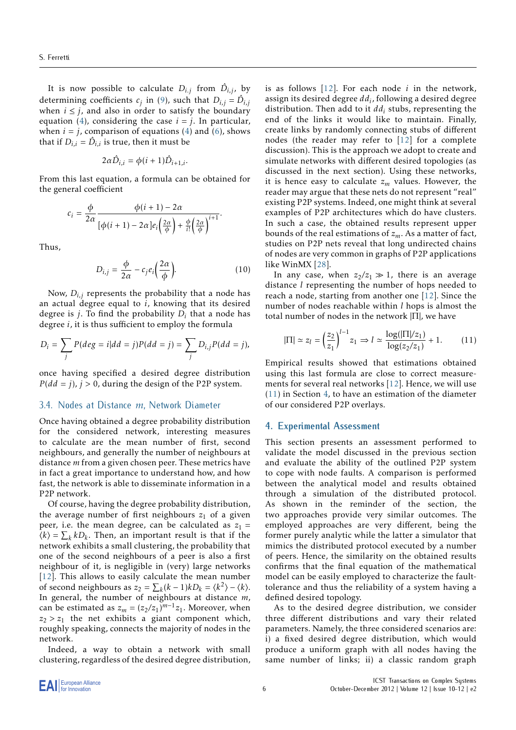It is now possible to calculate  $D_{i,j}$  from  $\hat{D}_{i,j}$ , by determining coefficients  $c_j$  in ([9](#page-4-2)), such that  $D_{i,j} = \hat{D}_{i,j}$ when  $i \leq j$ , and also in order to satisfy the boundary equation ([4\)](#page-4-3), considering the case  $i = j$ . In particular, when  $i = j$ , comparison of equations [\(4\)](#page-4-3) and ([6](#page-4-0)), shows that if  $D_{i,i} = \hat{D}_{i,i}$  is true, then it must be

$$
2\alpha \hat{D}_{i,i} = \phi(i+1)\hat{D}_{i+1,i}.
$$

From this last equation, a formula can be obtained for the general coefficient

$$
c_i = \frac{\phi}{2\alpha} \frac{\phi(i+1) - 2\alpha}{\left[\phi(i+1) - 2\alpha\right]e_i\left(\frac{2\alpha}{\phi}\right) + \frac{\phi}{i!}\left(\frac{2\alpha}{\phi}\right)^{i+1}}.
$$

Thus,

<span id="page-5-3"></span>
$$
D_{i,j} = \frac{\phi}{2\alpha} - c_j e_i \left(\frac{2\alpha}{\phi}\right).
$$
 (10)

Now,  $D_{i,j}$  represents the probability that a node has an actual degree equal to *i*, knowing that its desired degree is *j*. To find the probability *D<sup>i</sup>* that a node has degree *i*, it is thus sufficient to employ the formula

$$
D_i = \sum_j P(deg = i|dd = j)P(dd = j) = \sum_j D_{i,j}P(dd = j),
$$

once having specified a desired degree distribution  $P(dd = j)$ ,  $j > 0$ , during the design of the P2P system.

## <span id="page-5-2"></span>3.4. Nodes at Distance *m*, Network Diameter

Once having obtained a degree probability distribution for the considered network, interesting measures to calculate are the mean number of first, second neighbours, and generally the number of neighbours at distance *m* from a given chosen peer. These metrics have in fact a great importance to understand how, and how fast, the network is able to disseminate information in a P2P network.

Of course, having the degree probability distribution, the average number of first neighbours  $z_1$  of a given peer, i.e. the mean degree, can be calculated as  $z_1 =$  $\langle k \rangle = \sum_{k} k D_{k}$ . Then, an important result is that if the network exhibits a small clustering, the probability that one of the second neighbours of a peer is also a first neighbour of it, is negligible in (very) large networks [[12](#page-18-6)]. This allows to easily calculate the mean number of second neighbours as  $z_2 = \sum_k (k-1)kD_k = \langle k^2 \rangle - \langle k \rangle$ . In general, the number of neighbours at distance *m*, can be estimated as  $z_m = (z_2/z_1)^{m-1}z_1$ . Moreover, when  $z_2 > z_1$  the net exhibits a giant component which, roughly speaking, connects the majority of nodes in the network.

Indeed, a way to obtain a network with small clustering, regardless of the desired degree distribution, is as follows [[12](#page-18-6)]. For each node *i* in the network, assign its desired degree *dd<sup>i</sup>* , following a desired degree distribution. Then add to it *dd<sup>i</sup>* stubs, representing the end of the links it would like to maintain. Finally, create links by randomly connecting stubs of different nodes (the reader may refer to [[12](#page-18-6)] for a complete discussion). This is the approach we adopt to create and simulate networks with different desired topologies (as discussed in the next section). Using these networks, it is hence easy to calculate *z<sup>m</sup>* values. However, the reader may argue that these nets do not represent "real" existing P2P systems. Indeed, one might think at several examples of P2P architectures which do have clusters. In such a case, the obtained results represent upper bounds of the real estimations of *zm*. As a matter of fact, studies on P2P nets reveal that long undirected chains of nodes are very common in graphs of P2P applications like WinMX [[28\]](#page-18-11).

In any case, when  $z_2/z_1 \gg 1$ , there is an average distance *l* representing the number of hops needed to reach a node, starting from another one [[12\]](#page-18-6). Since the number of nodes reachable within *l* hops is almost the total number of nodes in the network  $|\Pi|$ , we have

<span id="page-5-1"></span>
$$
|\Pi| \simeq z_l = \left(\frac{z_2}{z_1}\right)^{l-1} z_1 \Rightarrow l \simeq \frac{\log(|\Pi|/z_1)}{\log(z_2/z_1)} + 1. \tag{11}
$$

Empirical results showed that estimations obtained using this last formula are close to correct measurements for several real networks [\[12](#page-18-6)]. Hence, we will use ([11](#page-5-1)) in Section [4,](#page-5-0) to have an estimation of the diameter of our considered P2P overlays.

#### <span id="page-5-0"></span>**4. Experimental Assessment**

This section presents an assessment performed to validate the model discussed in the previous section and evaluate the ability of the outlined P2P system to cope with node faults. A comparison is performed between the analytical model and results obtained through a simulation of the distributed protocol. As shown in the reminder of the section, the two approaches provide very similar outcomes. The employed approaches are very different, being the former purely analytic while the latter a simulator that mimics the distributed protocol executed by a number of peers. Hence, the similarity on the obtained results confirms that the final equation of the mathematical model can be easily employed to characterize the faulttolerance and thus the reliability of a system having a defined desired topology.

As to the desired degree distribution, we consider three different distributions and vary their related parameters. Namely, the three considered scenarios are: i) a fixed desired degree distribution, which would produce a uniform graph with all nodes having the same number of links; ii) a classic random graph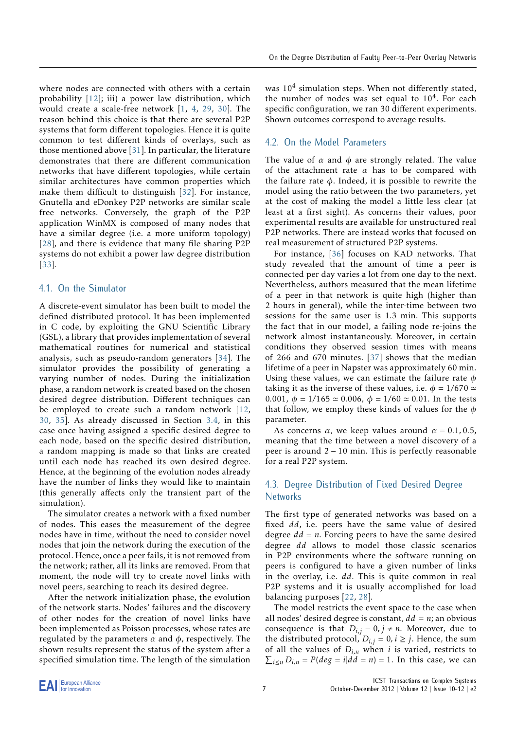where nodes are connected with others with a certain probability [\[12](#page-18-6)]; iii) a power law distribution, which would create a scale-free network [\[1,](#page-17-0) [4](#page-17-1), [29](#page-18-12), [30](#page-18-13)]. The reason behind this choice is that there are several P2P systems that form different topologies. Hence it is quite common to test different kinds of overlays, such as those mentioned above [\[31\]](#page-18-14). In particular, the literature demonstrates that there are different communication networks that have different topologies, while certain similar architectures have common properties which make them difficult to distinguish [[32\]](#page-18-15). For instance, Gnutella and eDonkey P2P networks are similar scale free networks. Conversely, the graph of the P2P application WinMX is composed of many nodes that have a similar degree (i.e. a more uniform topology) [[28](#page-18-11)], and there is evidence that many file sharing P2P systems do not exhibit a power law degree distribution [[33](#page-18-16)].

## 4.1. On the Simulator

A discrete-event simulator has been built to model the defined distributed protocol. It has been implemented in C code, by exploiting the GNU Scientific Library (GSL), a library that provides implementation of several mathematical routines for numerical and statistical analysis, such as pseudo-random generators [[34\]](#page-18-17). The simulator provides the possibility of generating a varying number of nodes. During the initialization phase, a random network is created based on the chosen desired degree distribution. Different techniques can be employed to create such a random network [[12,](#page-18-6) [30](#page-18-13), [35\]](#page-18-18). As already discussed in Section [3.4](#page-5-2), in this case once having assigned a specific desired degree to each node, based on the specific desired distribution, a random mapping is made so that links are created until each node has reached its own desired degree. Hence, at the beginning of the evolution nodes already have the number of links they would like to maintain (this generally affects only the transient part of the simulation).

The simulator creates a network with a fixed number of nodes. This eases the measurement of the degree nodes have in time, without the need to consider novel nodes that join the network during the execution of the protocol. Hence, once a peer fails, it is not removed from the network; rather, all its links are removed. From that moment, the node will try to create novel links with novel peers, searching to reach its desired degree.

After the network initialization phase, the evolution of the network starts. Nodes' failures and the discovery of other nodes for the creation of novel links have been implemented as Poisson processes, whose rates are regulated by the parameters *α* and *ϕ*, respectively. The shown results represent the status of the system after a specified simulation time. The length of the simulation

was 10<sup>4</sup> simulation steps. When not differently stated, the number of nodes was set equal to  $10<sup>4</sup>$ . For each specific configuration, we ran 30 different experiments. Shown outcomes correspond to average results.

### 4.2. On the Model Parameters

The value of  $\alpha$  and  $\phi$  are strongly related. The value of the attachment rate *α* has to be compared with the failure rate *ϕ*. Indeed, it is possible to rewrite the model using the ratio between the two parameters, yet at the cost of making the model a little less clear (at least at a first sight). As concerns their values, poor experimental results are available for unstructured real P2P networks. There are instead works that focused on real measurement of structured P2P systems.

For instance, [[36\]](#page-18-19) focuses on KAD networks. That study revealed that the amount of time a peer is connected per day varies a lot from one day to the next. Nevertheless, authors measured that the mean lifetime of a peer in that network is quite high (higher than 2 hours in general), while the inter-time between two sessions for the same user is 1*.*3 min. This supports the fact that in our model, a failing node re-joins the network almost instantaneously. Moreover, in certain conditions they observed session times with means of 266 and 670 minutes. [[37\]](#page-19-0) shows that the median lifetime of a peer in Napster was approximately 60 min. Using these values, we can estimate the failure rate *ϕ* taking it as the inverse of these values, i.e.  $\phi = 1/670 \simeq$ 0*.*001, *ϕ* = 1*/*165 ≃ 0*.*006, *ϕ* = 1*/*60 ≃ 0*.*01. In the tests that follow, we employ these kinds of values for the *ϕ* parameter.

As concerns  $\alpha$ , we keep values around  $\alpha = 0.1, 0.5$ , meaning that the time between a novel discovery of a peer is around 2 − 10 min. This is perfectly reasonable for a real P2P system.

## 4.3. Degree Distribution of Fixed Desired Degree **Networks**

The first type of generated networks was based on a fixed *dd*, i.e. peers have the same value of desired degree  $dd = n$ . Forcing peers to have the same desired degree *dd* allows to model those classic scenarios in P2P environments where the software running on peers is configured to have a given number of links in the overlay, i.e. *dd*. This is quite common in real P2P systems and it is usually accomplished for load balancing purposes [[22,](#page-18-20) [28\]](#page-18-11).

The model restricts the event space to the case when all nodes' desired degree is constant,  $dd = n$ ; an obvious consequence is that  $D_{i,j} = 0, j \neq n$ . Moreover, due to the distributed protocol,  $D_{i,j} = 0, i \ge j$ . Hence, the sum of all the values of  $D_{i,n}$  when *i* is varied, restricts to  $\sum_{i \leq n} D_{i,n} = P(deg = i | dd = n) = 1$ . In this case, we can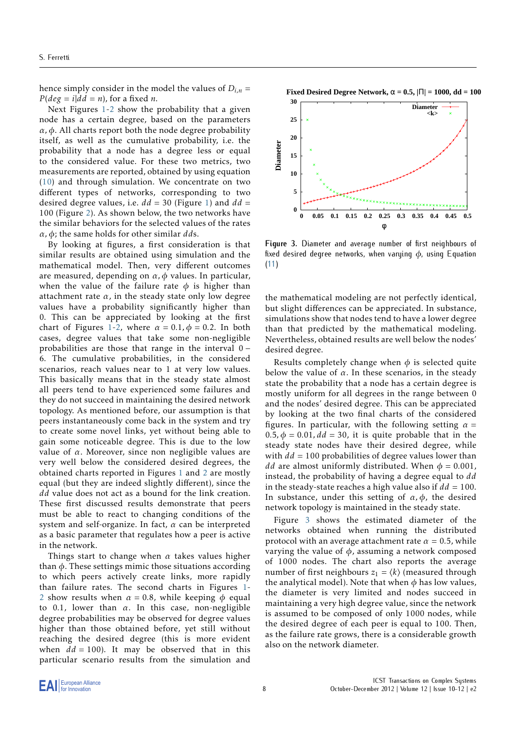hence simply consider in the model the values of  $D_{i,n}$  =  $P(\text{deg} = i | \text{dd} = n)$ , for a fixed *n*.

Next Figures [1](#page-8-0)[-2](#page-9-0) show the probability that a given node has a certain degree, based on the parameters *α, ϕ*. All charts report both the node degree probability itself, as well as the cumulative probability, i.e. the probability that a node has a degree less or equal to the considered value. For these two metrics, two measurements are reported, obtained by using equation ([10\)](#page-5-3) and through simulation. We concentrate on two different types of networks, corresponding to two desired degree values, i.e. *dd* = 30 (Figure [1\)](#page-8-0) and *dd* = 100 (Figure [2](#page-9-0)). As shown below, the two networks have the similar behaviors for the selected values of the rates *α, ϕ*; the same holds for other similar *dd*s.

By looking at figures, a first consideration is that similar results are obtained using simulation and the mathematical model. Then, very different outcomes are measured, depending on *α, ϕ* values. In particular, when the value of the failure rate  $\phi$  is higher than attachment rate  $\alpha$ , in the steady state only low degree values have a probability significantly higher than 0. This can be appreciated by looking at the first chart of Figures [1](#page-8-0)[-2,](#page-9-0) where  $\alpha = 0.1$ ,  $\phi = 0.2$ . In both cases, degree values that take some non-negligible probabilities are those that range in the interval 0 − 6. The cumulative probabilities, in the considered scenarios, reach values near to 1 at very low values. This basically means that in the steady state almost all peers tend to have experienced some failures and they do not succeed in maintaining the desired network topology. As mentioned before, our assumption is that peers instantaneously come back in the system and try to create some novel links, yet without being able to gain some noticeable degree. This is due to the low value of *α*. Moreover, since non negligible values are very well below the considered desired degrees, the obtained charts reported in Figures [1](#page-8-0) and [2](#page-9-0) are mostly equal (but they are indeed slightly different), since the *dd* value does not act as a bound for the link creation. These first discussed results demonstrate that peers must be able to react to changing conditions of the system and self-organize. In fact, *α* can be interpreted as a basic parameter that regulates how a peer is active in the network.

Things start to change when *α* takes values higher than *ϕ*. These settings mimic those situations according to which peers actively create links, more rapidly than failure rates. The second charts in Figures [1-](#page-8-0) [2](#page-9-0) show results when  $\alpha = 0.8$ , while keeping  $\phi$  equal to 0*.*1, lower than *α*. In this case, non-negligible degree probabilities may be observed for degree values higher than those obtained before, yet still without reaching the desired degree (this is more evident when  $dd = 100$ ). It may be observed that in this particular scenario results from the simulation and



<span id="page-7-0"></span>

**Figure 3.** Diameter and average number of first neighbours of fixed desired degree networks, when varying *ϕ*, using Equation [\(11](#page-5-1))

the mathematical modeling are not perfectly identical, but slight differences can be appreciated. In substance, simulations show that nodes tend to have a lower degree than that predicted by the mathematical modeling. Nevertheless, obtained results are well below the nodes' desired degree.

Results completely change when  $\phi$  is selected quite below the value of  $\alpha$ . In these scenarios, in the steady state the probability that a node has a certain degree is mostly uniform for all degrees in the range between 0 and the nodes' desired degree. This can be appreciated by looking at the two final charts of the considered figures. In particular, with the following setting  $\alpha =$ 0.5,  $\phi = 0.01$ ,  $dd = 30$ , it is quite probable that in the steady state nodes have their desired degree, while with  $dd = 100$  probabilities of degree values lower than *dd* are almost uniformly distributed. When  $\phi = 0.001$ , instead, the probability of having a degree equal to *dd* in the steady-state reaches a high value also if  $dd = 100$ . In substance, under this setting of  $\alpha$ ,  $\phi$ , the desired network topology is maintained in the steady state.

Figure [3](#page-7-0) shows the estimated diameter of the networks obtained when running the distributed protocol with an average attachment rate  $\alpha = 0.5$ , while varying the value of *ϕ*, assuming a network composed of 1000 nodes. The chart also reports the average number of first neighbours  $z_1 = \langle k \rangle$  (measured through the analytical model). Note that when  $\phi$  has low values, the diameter is very limited and nodes succeed in maintaining a very high degree value, since the network is assumed to be composed of only 1000 nodes, while the desired degree of each peer is equal to 100. Then, as the failure rate grows, there is a considerable growth also on the network diameter.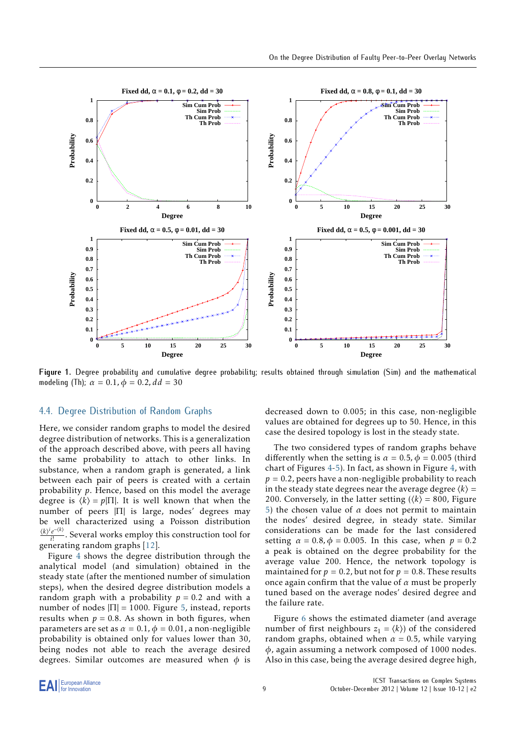<span id="page-8-0"></span>

**Figure 1.** Degree probability and cumulative degree probability; results obtained through simulation (Sim) and the mathematical modeling (Th);  $\alpha = 0.1$ ,  $\phi = 0.2$ ,  $dd = 30$ 

#### 4.4. Degree Distribution of Random Graphs

Here, we consider random graphs to model the desired degree distribution of networks. This is a generalization of the approach described above, with peers all having the same probability to attach to other links. In substance, when a random graph is generated, a link between each pair of peers is created with a certain probability *p*. Hence, based on this model the average degree is  $\langle k \rangle = p|\Pi|$ . It is well known that when the number of peers |Π| is large, nodes' degrees may be well characterized using a Poisson distribution ⟨*k*⟩ *i e* −⟨*k*⟩  $\frac{e^{i\theta}}{i!}$ . Several works employ this construction tool for generating random graphs [[12\]](#page-18-6).

Figure [4](#page-10-0) shows the degree distribution through the analytical model (and simulation) obtained in the steady state (after the mentioned number of simulation steps), when the desired degree distribution models a random graph with a probability  $p = 0.2$  and with a number of nodes  $|\Pi| = 1000$ . Figure [5,](#page-11-0) instead, reports results when  $p = 0.8$ . As shown in both figures, when parameters are set as  $\alpha = 0.1$ ,  $\phi = 0.01$ , a non-negligible probability is obtained only for values lower than 30, being nodes not able to reach the average desired degrees. Similar outcomes are measured when  $\phi$  is decreased down to 0*.*005; in this case, non-negligible values are obtained for degrees up to 50. Hence, in this case the desired topology is lost in the steady state.

The two considered types of random graphs behave differently when the setting is  $\alpha = 0.5$ ,  $\phi = 0.005$  (third chart of Figures [4](#page-10-0)-[5](#page-11-0)). In fact, as shown in Figure [4,](#page-10-0) with  $p = 0.2$ , peers have a non-negligible probability to reach in the steady state degrees near the average degree  $\langle k \rangle$  = 200. Conversely, in the latter setting  $(\langle k \rangle = 800)$ , Figure [5\)](#page-11-0) the chosen value of  $\alpha$  does not permit to maintain the nodes' desired degree, in steady state. Similar considerations can be made for the last considered setting  $\alpha = 0.8$ ,  $\phi = 0.005$ . In this case, when  $p = 0.2$ a peak is obtained on the degree probability for the average value 200. Hence, the network topology is maintained for  $p = 0.2$ , but not for  $p = 0.8$ . These results once again confirm that the value of *α* must be properly tuned based on the average nodes' desired degree and the failure rate.

Figure [6](#page-11-1) shows the estimated diameter (and average number of first neighbours  $z_1 = \langle k \rangle$  of the considered random graphs, obtained when  $\alpha = 0.5$ , while varying *ϕ*, again assuming a network composed of 1000 nodes. Also in this case, being the average desired degree high,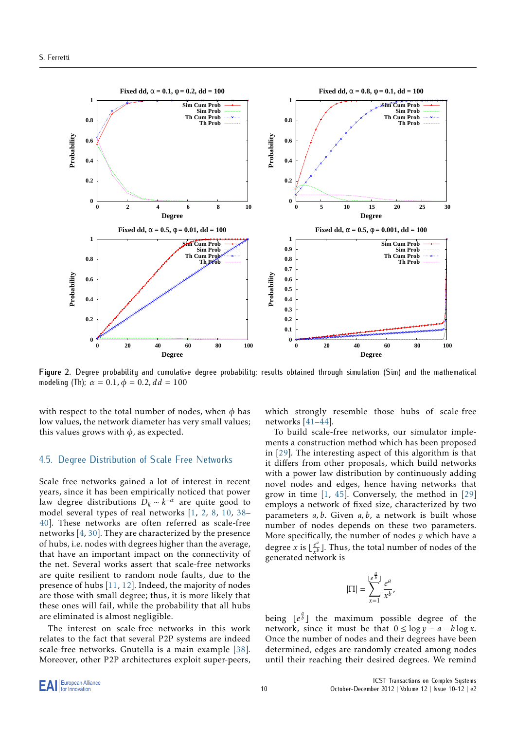<span id="page-9-0"></span>

**Figure 2.** Degree probability and cumulative degree probability; results obtained through simulation (Sim) and the mathematical modeling (Th);  $\alpha = 0.1$ ,  $\phi = 0.2$ ,  $dd = 100$ 

with respect to the total number of nodes, when  $\phi$  has low values, the network diameter has very small values; this values grows with  $\phi$ , as expected.

#### 4.5. Degree Distribution of Scale Free Networks

Scale free networks gained a lot of interest in recent years, since it has been empirically noticed that power law degree distributions  $D_k \sim k^{-\alpha}$  are quite good to model several types of real networks [\[1,](#page-17-0) [2,](#page-17-6) [8](#page-18-21), [10,](#page-18-0) [38](#page-19-1)– [40](#page-19-2)]. These networks are often referred as scale-free networks [\[4,](#page-17-1) [30](#page-18-13)]. They are characterized by the presence of hubs, i.e. nodes with degrees higher than the average, that have an important impact on the connectivity of the net. Several works assert that scale-free networks are quite resilient to random node faults, due to the presence of hubs [[11,](#page-18-1) [12\]](#page-18-6). Indeed, the majority of nodes are those with small degree; thus, it is more likely that these ones will fail, while the probability that all hubs are eliminated is almost negligible.

The interest on scale-free networks in this work relates to the fact that several P2P systems are indeed scale-free networks. Gnutella is a main example [\[38](#page-19-1)]. Moreover, other P2P architectures exploit super-peers,

which strongly resemble those hubs of scale-free networks [[41–](#page-19-3)[44\]](#page-19-4).

To build scale-free networks, our simulator implements a construction method which has been proposed in [[29](#page-18-12)]. The interesting aspect of this algorithm is that it differs from other proposals, which build networks with a power law distribution by continuously adding novel nodes and edges, hence having networks that grow in time [[1](#page-17-0), [45](#page-19-5)]. Conversely, the method in [[29\]](#page-18-12) employs a network of fixed size, characterized by two parameters *a, b*. Given *a, b*, a network is built whose number of nodes depends on these two parameters. More specifically, the number of nodes *y* which have a degree *x* is  $\frac{e^{a}}{x^{b}}$ generated network is  $\frac{a}{b}$ ]. Thus, the total number of nodes of the

$$
|\Pi| = \sum_{x=1}^{\lfloor e^{\frac{a}{b}} \rfloor} \frac{e^a}{x^b}
$$

*,*

being  $\lfloor e^{\frac{a}{b}} \rfloor$  the maximum possible degree of the network, since it must be that  $0 \le \log y = a - b \log x$ . Once the number of nodes and their degrees have been determined, edges are randomly created among nodes until their reaching their desired degrees. We remind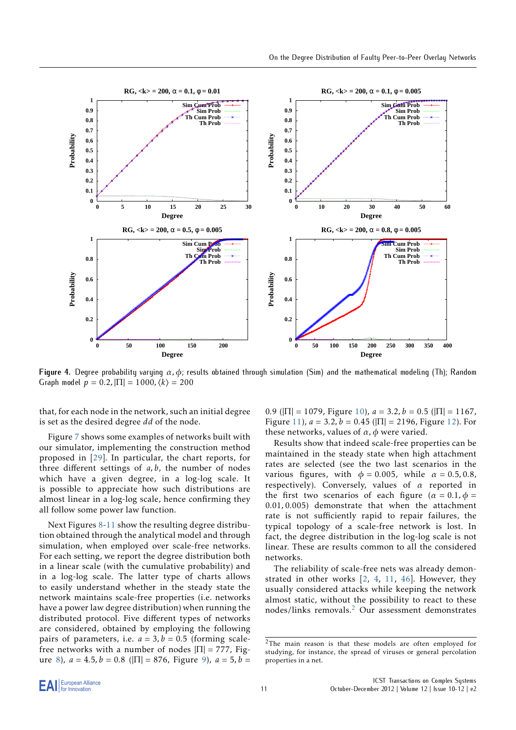<span id="page-10-0"></span>

**Figure 4.** Degree probability varying *α, ϕ*; results obtained through simulation (Sim) and the mathematical modeling (Th); Random Graph model  $p = 0.2$ ,  $|\Pi| = 1000$ ,  $\langle k \rangle = 200$ 

that, for each node in the network, such an initial degree is set as the desired degree *dd* of the node.

Figure [7](#page-17-7) shows some examples of networks built with our simulator, implementing the construction method proposed in [\[29](#page-18-12)]. In particular, the chart reports, for three different settings of *a, b*, the number of nodes which have a given degree, in a log-log scale. It is possible to appreciate how such distributions are almost linear in a log-log scale, hence confirming they all follow some power law function.

Next Figures [8-](#page-12-0)[11](#page-15-0) show the resulting degree distribution obtained through the analytical model and through simulation, when employed over scale-free networks. For each setting, we report the degree distribution both in a linear scale (with the cumulative probability) and in a log-log scale. The latter type of charts allows to easily understand whether in the steady state the network maintains scale-free properties (i.e. networks have a power law degree distribution) when running the distributed protocol. Five different types of networks are considered, obtained by employing the following pairs of parameters, i.e.  $a = 3$ ,  $b = 0.5$  (forming scalefree networks with a number of nodes  $|\Pi| = 777$ , Fig-ure [8\)](#page-12-0),  $a = 4.5$ ,  $b = 0.8$  ( $|\Pi| = 876$ , Figure [9](#page-13-0)),  $a = 5$ ,  $b =$ 

0.9 ( $|\Pi| = 1079$ , Figure [10\)](#page-14-0),  $a = 3.2$ ,  $b = 0.5$  ( $|\Pi| = 1167$ , Figure [11](#page-15-0)),  $a = 3.2$ ,  $b = 0.45$  ( $|\Pi| = 2196$ , Figure [12\)](#page-16-0). For these networks, values of *α, ϕ* were varied.

Results show that indeed scale-free properties can be maintained in the steady state when high attachment rates are selected (see the two last scenarios in the various figures, with  $\phi = 0.005$ , while  $\alpha = 0.5, 0.8$ , respectively). Conversely, values of *α* reported in the first two scenarios of each figure ( $\alpha = 0.1, \phi =$ 0*.*01*,* 0*.*005) demonstrate that when the attachment rate is not sufficiently rapid to repair failures, the typical topology of a scale-free network is lost. In fact, the degree distribution in the log-log scale is not linear. These are results common to all the considered networks.

The reliability of scale-free nets was already demonstrated in other works [\[2,](#page-17-6) [4,](#page-17-1) [11](#page-18-1), [46](#page-19-6)]. However, they usually considered attacks while keeping the network almost static, without the possibility to react to these nodes/links removals.[2](#page-10-1) Our assessment demonstrates

<span id="page-10-1"></span><sup>2</sup>The main reason is that these models are often employed for studying, for instance, the spread of viruses or general percolation properties in a net.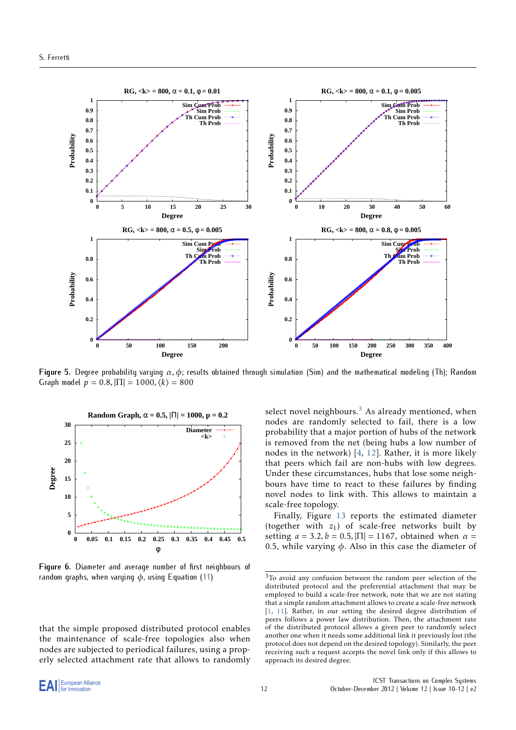<span id="page-11-0"></span>

**Figure 5.** Degree probability varying *α, ϕ*; results obtained through simulation (Sim) and the mathematical modeling (Th); Random Graph model  $p = 0.8$ ,  $|\Pi| = 1000$ ,  $\langle k \rangle = 800$ 

<span id="page-11-1"></span>

**Figure 6.** Diameter and average number of first neighbours of random graphs, when varying *ϕ*, using Equation [\(11](#page-5-1))

that the simple proposed distributed protocol enables the maintenance of scale-free topologies also when nodes are subjected to periodical failures, using a properly selected attachment rate that allows to randomly select novel neighbours.<sup>[3](#page-11-2)</sup> As already mentioned, when nodes are randomly selected to fail, there is a low probability that a major portion of hubs of the network is removed from the net (being hubs a low number of nodes in the network) [[4](#page-17-1), [12](#page-18-6)]. Rather, it is more likely that peers which fail are non-hubs with low degrees. Under these circumstances, hubs that lose some neighbours have time to react to these failures by finding novel nodes to link with. This allows to maintain a scale-free topology.

Finally, Figure [13](#page-17-8) reports the estimated diameter (together with  $z_1$ ) of scale-free networks built by setting  $a = 3.2$ ,  $b = 0.5$ ,  $|\Pi| = 1167$ , obtained when  $\alpha =$ 0*.*5, while varying *ϕ*. Also in this case the diameter of

<span id="page-11-2"></span><sup>3</sup>To avoid any confusion between the random peer selection of the distributed protocol and the preferential attachment that may be employed to build a scale-free network, note that we are not stating that a simple random attachment allows to create a scale-free network [[1](#page-17-0), [11](#page-18-1)]. Rather, in our setting the desired degree distribution of peers follows a power law distribution. Then, the attachment rate of the distributed protocol allows a given peer to randomly select another one when it needs some additional link it previously lost (the protocol does not depend on the desired topology). Similarly, the peer receiving such a request accepts the novel link only if this allows to approach its desired degree.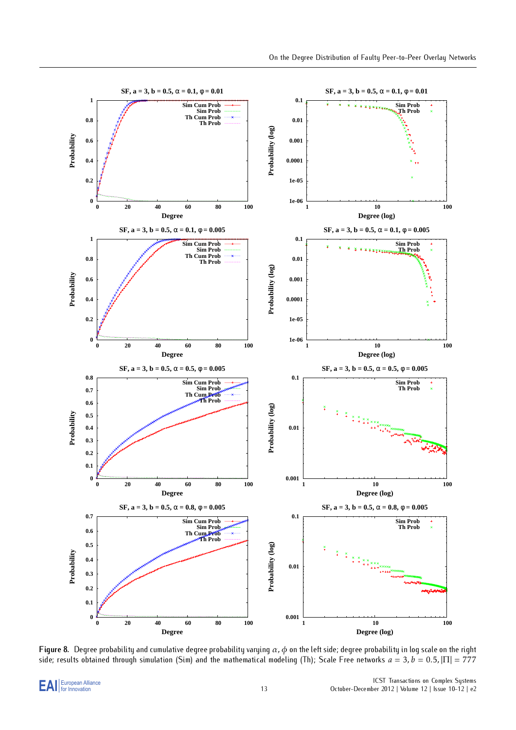<span id="page-12-0"></span>

**Figure 8.** Degree probability and cumulative degree probability varying *α, ϕ* on the left side; degree probability in log scale on the right side; results obtained through simulation (Sim) and the mathematical modeling (Th); Scale Free networks  $a = 3$ ,  $b = 0.5$ ,  $|\Pi| = 777$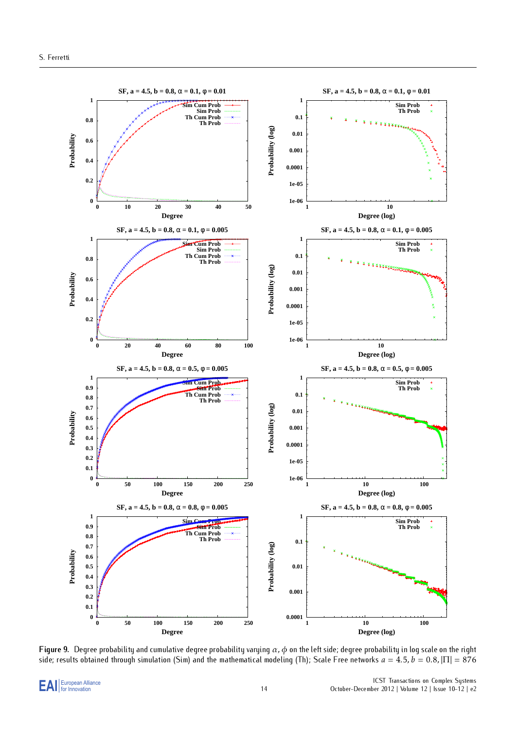<span id="page-13-0"></span>

**Figure 9.** Degree probability and cumulative degree probability varying *α, ϕ* on the left side; degree probability in log scale on the right side; results obtained through simulation (Sim) and the mathematical modeling (Th); Scale Free networks  $a = 4.5$ ,  $b = 0.8$ ,  $|\Pi| = 876$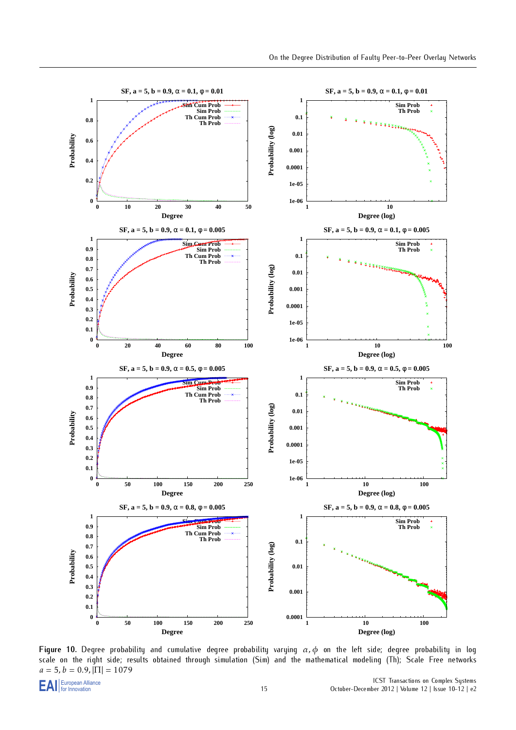<span id="page-14-0"></span>

**Figure 10.** Degree probability and cumulative degree probability varying *α, ϕ* on the left side; degree probability in log scale on the right side; results obtained through simulation (Sim) and the mathematical modeling (Th); Scale Free networks  $a = 5$ ,  $b = 0.9$ ,  $|\Pi| = 1079$ <br> **EAI** European Alliance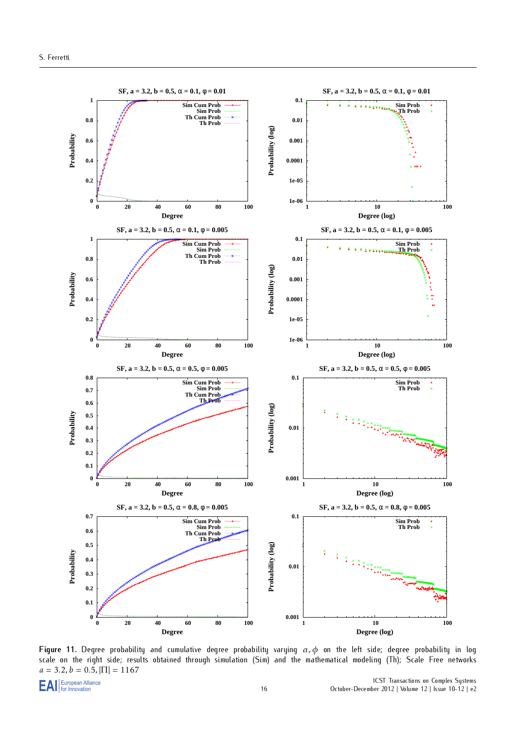<span id="page-15-0"></span>

**Figure 11.** Degree probability and cumulative degree probability varying *α, ϕ* on the left side; degree probability in log scale on the right side; results obtained through simulation (Sim) and the mathematical modeling (Th); Scale Free networks  $a = 3.2, b = 0.5, |\Pi| = 1167$ <br> **E** A I European Alliance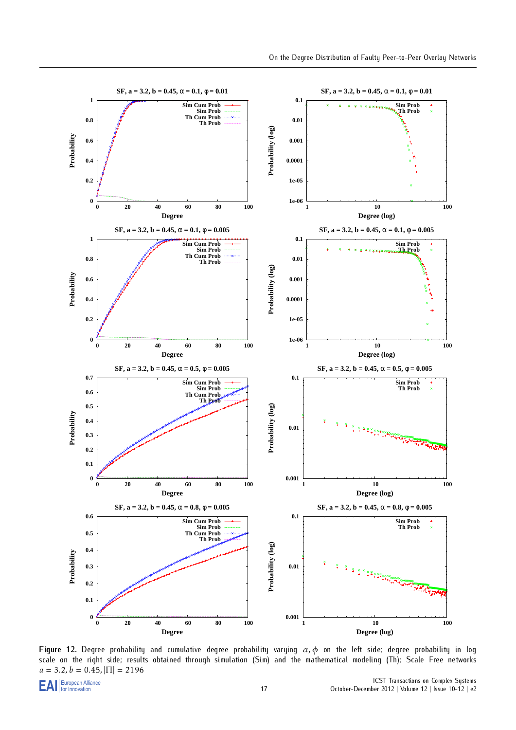<span id="page-16-0"></span>

**Figure 12.** Degree probability and cumulative degree probability varying *α, ϕ* on the left side; degree probability in log scale on the right side; results obtained through simulation (Sim) and the mathematical modeling (Th); Scale Free networks  $a = 3.2, b = 0.45, |\Pi| = 2196$ <br> **E A I** European Alliance

EAI For Innovation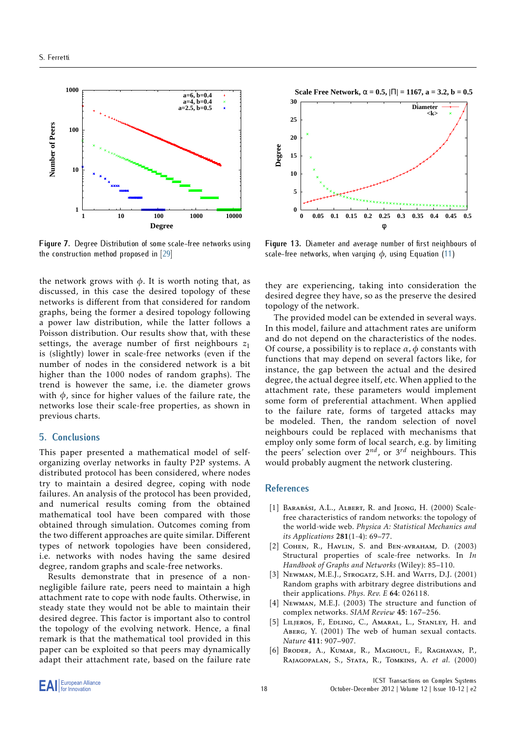<span id="page-17-7"></span>

**Figure 7.** Degree Distribution of some scale-free networks using the construction method proposed in [[29\]](#page-18-12)

the network grows with  $\phi$ . It is worth noting that, as discussed, in this case the desired topology of these networks is different from that considered for random graphs, being the former a desired topology following a power law distribution, while the latter follows a Poisson distribution. Our results show that, with these settings, the average number of first neighbours  $z_1$ is (slightly) lower in scale-free networks (even if the number of nodes in the considered network is a bit higher than the 1000 nodes of random graphs). The trend is however the same, i.e. the diameter grows with *ϕ*, since for higher values of the failure rate, the networks lose their scale-free properties, as shown in previous charts.

#### <span id="page-17-5"></span>**5. Conclusions**

This paper presented a mathematical model of selforganizing overlay networks in faulty P2P systems. A distributed protocol has been considered, where nodes try to maintain a desired degree, coping with node failures. An analysis of the protocol has been provided, and numerical results coming from the obtained mathematical tool have been compared with those obtained through simulation. Outcomes coming from the two different approaches are quite similar. Different types of network topologies have been considered, i.e. networks with nodes having the same desired degree, random graphs and scale-free networks.

Results demonstrate that in presence of a nonnegligible failure rate, peers need to maintain a high attachment rate to cope with node faults. Otherwise, in steady state they would not be able to maintain their desired degree. This factor is important also to control the topology of the evolving network. Hence, a final remark is that the mathematical tool provided in this paper can be exploited so that peers may dynamically adapt their attachment rate, based on the failure rate

<span id="page-17-8"></span>

**Figure 13.** Diameter and average number of first neighbours of scale-free networks, when varying *ϕ*, using Equation ([11](#page-5-1))

they are experiencing, taking into consideration the desired degree they have, so as the preserve the desired topology of the network.

The provided model can be extended in several ways. In this model, failure and attachment rates are uniform and do not depend on the characteristics of the nodes. Of course, a possibility is to replace  $\alpha$ ,  $\phi$  constants with functions that may depend on several factors like, for instance, the gap between the actual and the desired degree, the actual degree itself, etc. When applied to the attachment rate, these parameters would implement some form of preferential attachment. When applied to the failure rate, forms of targeted attacks may be modeled. Then, the random selection of novel neighbours could be replaced with mechanisms that employ only some form of local search, e.g. by limiting the peers' selection over 2 *nd*, or 3 *rd* neighbours. This would probably augment the network clustering.

#### **References**

- <span id="page-17-0"></span>[1] BARABÁSI, A.L., ALBERT, R. and JEONG, H. (2000) Scalefree characteristics of random networks: the topology of the world-wide web. *Physica A: Statistical Mechanics and its Applications* 281(1-4): 69–77.
- <span id="page-17-6"></span>[2] COHEN, R., HAVLIN, S. and BEN-AVRAHAM, D. (2003) Structural properties of scale-free networks. In *In Handbook of Graphs and Networks* (Wiley): 85–110.
- <span id="page-17-4"></span>[3] Newman, M.E.J., Strogatz, S.H. and Watts, D.J. (2001) Random graphs with arbitrary degree distributions and their applications. *Phys. Rev. E* 64: 026118.
- <span id="page-17-1"></span>[4] Newman, M.E.J. (2003) The structure and function of complex networks. *SIAM Review* 45: 167–256.
- <span id="page-17-2"></span>LILJEROS, F., EDLING, C., AMARAL, L., STANLEY, H. and Aberg, Y. (2001) The web of human sexual contacts. *Nature* 411: 907–907.
- <span id="page-17-3"></span>[6] Broder, A., Kumar, R., Maghoul, F., Raghavan, P., Rajagopalan, S., Stata, R., Tomkins, A. *et al.* (2000)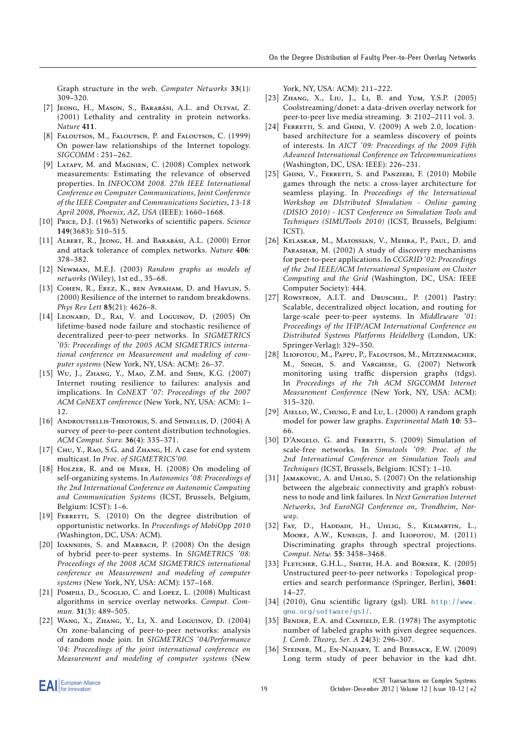Graph structure in the web. *Computer Networks* 33(1): 309–320.

- [7] Jeong, H., Mason, S., Barabási, A.L. and Oltvai, Z. (2001) Lethality and centrality in protein networks. *Nature* 411.
- <span id="page-18-21"></span>[8] Faloutsos, M., Faloutsos, P. and Faloutsos, C. (1999) On power-law relationships of the Internet topology. *SIGCOMM* : 251–262.
- [9] LATAPY, M. and MAGNIEN, C. (2008) Complex network measurements: Estimating the relevance of observed properties. In *INFOCOM 2008. 27th IEEE International Conference on Computer Communications, Joint Conference of the IEEE Computer and Communications Societies, 13-18 April 2008, Phoenix, AZ, USA* (IEEE): 1660–1668.
- <span id="page-18-0"></span>[10] Price, D.J. (1965) Networks of scientific papers. *Science* 149(3683): 510–515.
- <span id="page-18-1"></span>[11] ALBERT, R., JEONG, H. and BARABÁSI, A.L. (2000) Error and attack tolerance of complex networks. *Nature* 406: 378–382.
- <span id="page-18-6"></span>[12] Newman, M.E.J. (2003) *Random graphs as models of networks* (Wiley), 1st ed., 35–68.
- [13] COHEN, R., EREZ, K., BEN AVRAHAM, D. and HAVLIN, S. (2000) Resilience of the internet to random breakdowns. *Phys Rev Lett* 85(21): 4626–8.
- [14] LEONARD, D., RAI, V. and LOGUINOV, D. (2005) On lifetime-based node failure and stochastic resilience of decentralized peer-to-peer networks. In *SIGMETRICS '05: Proceedings of the 2005 ACM SIGMETRICS international conference on Measurement and modeling of computer systems* (New York, NY, USA: ACM): 26–37.
- <span id="page-18-2"></span>[15] Wu, J., ZHANG, Y., MAO, Z.M. and SHIN, K.G. (2007) Internet routing resilience to failures: analysis and implications. In *CoNEXT '07: Proceedings of the 2007 ACM CoNEXT conference* (New York, NY, USA: ACM): 1– 12.
- <span id="page-18-3"></span>[16] ANDROUTSELLIS-THEOTOKIS, S. and SPINELLIS, D. (2004) A survey of peer-to-peer content distribution technologies. *ACM Comput. Surv.* 36(4): 335–371.
- [17] CHU, Y., RAO, S.G. and ZHANG, H. A case for end system multicast. In *Proc. of SIGMETRICS'00*.
- <span id="page-18-5"></span>[18] Holzer, R. and DE MEER, H. (2008) On modeling of self-organizing systems. In *Autonomics '08: Proceedings of the 2nd International Conference on Autonomic Computing and Communication Systems* (ICST, Brussels, Belgium, Belgium: ICST): 1–6.
- [19] FERRETTI, S. (2010) On the degree distribution of opportunistic networks. In *Proceedings of MobiOpp 2010* (Washington, DC, USA: ACM).
- [20] IOANNIDIS, S. and MARBACH, P. (2008) On the design of hybrid peer-to-peer systems. In *SIGMETRICS '08: Proceedings of the 2008 ACM SIGMETRICS international conference on Measurement and modeling of computer systems* (New York, NY, USA: ACM): 157–168.
- [21] POMPILI, D., SCOGLIO, C. and LOPEZ, L. (2008) Multicast algorithms in service overlay networks. *Comput. Commun.* 31(3): 489–505.
- <span id="page-18-20"></span>[22] Wang, X., Zhang, Y., Li, X. and Loguinov, D. (2004) On zone-balancing of peer-to-peer networks: analysis of random node join. In *SIGMETRICS '04/Performance '04: Proceedings of the joint international conference on Measurement and modeling of computer systems* (New

York, NY, USA: ACM): 211–222.

- <span id="page-18-4"></span>[23] Zhang, X., Liu, J., Li, B. and Yum, Y.S.P. (2005) Coolstreaming/donet: a data-driven overlay network for peer-to-peer live media streaming. 3: 2102–2111 vol. 3.
- <span id="page-18-7"></span>[24] FERRETTI, S. and GHINI, V.  $(2009)$  A web 2.0, locationbased architecture for a seamless discovery of points of interests. In *AICT '09: Proceedings of the 2009 Fifth Advanced International Conference on Telecommunications* (Washington, DC, USA: IEEE): 226–231.
- <span id="page-18-8"></span>[25] GHINI, V., FERRETTI, S. and PANZIERI, F. (2010) Mobile games through the nets: a cross-layer architecture for seamless playing. In *Proceedings of the International Workshop on DIstributed SImulation - Online gaming (DISIO 2010) - ICST Conference on Simulation Tools and Techniques (SIMUTools 2010)* (ICST, Brussels, Belgium: ICST).
- <span id="page-18-9"></span>[26] KELASKAR, M., MATOSSIAN, V., MEHRA, P., PAUL, D. and Parashar, M. (2002) A study of discovery mechanisms for peer-to-peer applications. In *CCGRID '02: Proceedings of the 2nd IEEE/ACM International Symposium on Cluster Computing and the Grid* (Washington, DC, USA: IEEE Computer Society): 444.
- <span id="page-18-10"></span>[27] Rowstron, A.I.T. and Druschel, P. (2001) Pastry: Scalable, decentralized object location, and routing for large-scale peer-to-peer systems. In *Middleware '01: Proceedings of the IFIP/ACM International Conference on Distributed Systems Platforms Heidelberg* (London, UK: Springer-Verlag): 329–350.
- <span id="page-18-11"></span>[28] Iliofotou, M., Pappu, P., Faloutsos, M., Mitzenmacher, M., Singh, S. and Varghese, G. (2007) Network monitoring using traffic dispersion graphs (tdgs). In *Proceedings of the 7th ACM SIGCOMM Internet Measurement Conference* (New York, NY, USA: ACM): 315–320.
- <span id="page-18-12"></span>[29] AIELLO, W., CHUNG, F. and Lu, L. (2000) A random graph model for power law graphs. *Experimental Math* 10: 53– 66.
- <span id="page-18-13"></span>[30] D'Angelo, G. and Ferretti, S. (2009) Simulation of scale-free networks. In *Simutools '09: Proc. of the 2nd International Conference on Simulation Tools and Techniques* (ICST, Brussels, Belgium: ICST): 1–10.
- <span id="page-18-14"></span>[31] JAMAKOVIC, A. and UHLIG, S. (2007) On the relationship between the algebraic connectivity and graph's robustness to node and link failures. In *Next Generation Internet Networks, 3rd EuroNGI Conference on, Trondheim, Norway*.
- <span id="page-18-15"></span>[32] Fay, D., Haddadi, H., Uhlig, S., Kilmartin, L., Moore, A.W., Kunegis, J. and Iliofotou, M. (2011) Discriminating graphs through spectral projections. *Comput. Netw.* 55: 3458–3468.
- <span id="page-18-16"></span>[33] FLETCHER, G.H.L., SHETH, H.A. and Börner, K. (2005) Unstructured peer-to-peer networks : Topological properties and search performance (Springer, Berlin), 3601: 14–27.
- <span id="page-18-17"></span>[34] (2010), Gnu scientific ligrary (gsl). URL [http://www.](http://www.gnu.org/software/gsl/) [gnu.org/software/gsl/](http://www.gnu.org/software/gsl/).
- <span id="page-18-18"></span>[35] BENDER, E.A. and CANFIELD, E.R. (1978) The asymptotic number of labeled graphs with given degree sequences. *J. Comb. Theory, Ser. A* 24(3): 296–307.
- <span id="page-18-19"></span>[36] STEINER, M., EN-NAJJARY, T. and BIERSACK, E.W. (2009) Long term study of peer behavior in the kad dht.